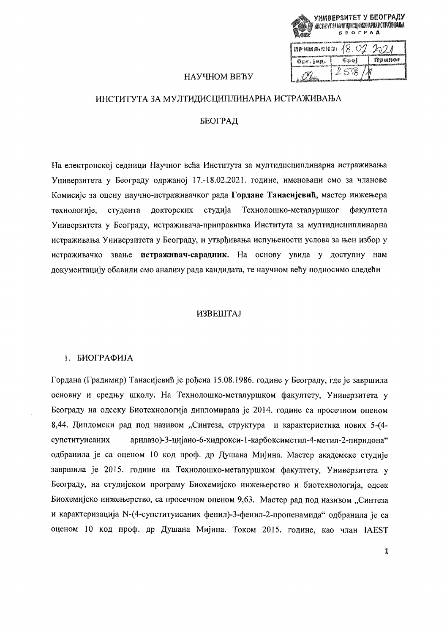| 1098 |               | УНИВЕРЗИТЕТ У БЕОГРАДУ<br>@ KACTHYT 3A HYITHQICAINIESHAPHA KOTPARHQAISA<br><b>SEOTPAN</b> |           |  |
|------|---------------|-------------------------------------------------------------------------------------------|-----------|--|
|      |               | примисно: 18.02.2021                                                                      |           |  |
|      | Thomas Senet. | ர் பெல்லையே                                                                               | i finance |  |

 $258$ 

# **HAVUHOM BEBV**

# ИНСТИТУТА ЗА МУЛТИДИСЦИПЛИНАРНА ИСТРАЖИВАЊА

# БЕОГРАД

На електронској селници Научног већа Института за мултидисциплинарна истраживања Универзитета у Београду одржаној 17.-18.02.2021. године, именовани смо за чланове Комисије за оцену научно-истраживачког рада Гордане Танасијевић, мастер инжењера технологије, студента докторских студија Технолошко-металуршког **факултета** Универзитета у Београду, истраживача-приправника Института за мултидисциплинарна истраживања Универзитета у Београду, и утврђивања испуњености услова за њен избор у истраживачко звање истраживач-сарадник. На основу увида у доступну нам документацију обавили смо анализу рада кандидата, те научном већу подносимо следећи

### **ИЗВЕШТАЈ**

# 1. БИОГРАФИЈА

Гордана (Градимир) Танасијевић је рођена 15.08.1986. године у Београду, где је завршила основну и средњу школу. На Технолошко-металуршком факултету, Универзитета у Београду на одсеку Биотехнологија дипломирала је 2014. године са просечном оценом 8,44. Дипломски рад под називом "Синтеза, структура и карактеристика нових 5-4супституисаних арилазо)-3-цијано-6-хидрокси-1-карбоксиметил-4-метил-2-пиридона" одбранила је са оценом 10 код проф. др Душана Мијина. Мастер академске студије завршила је 2015. године на Технолошко-металуршком факултету, Универзитета у Београду, на студијском програму Биохемијско инжењерство и биотехнологија, одсек Биохемијско инжењерство, са просечном оценом 9,63. Мастер рад под називом "Синтеза и карактеризација N-(4-супституисаних фенил)-3-фенил-2-пропенамида" одбранила је са оценом 10 код проф. др Душана Мијина. Током 2015. године, као члан IAEST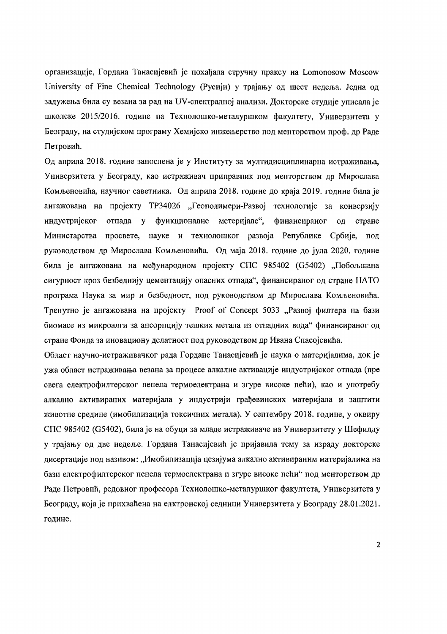организације, Гордана Танасијевић је похађала стручну праксу на Lomonosow Moscow University of Fine Chemical Technology (Русији) у трајању од шест недеља. Једна од задужења била су везана за рад на UV-спектралној анализи. Докторске студије уписала је школске 2015/2016. године на Технолошко-металуршком факултету. Универзитета у Београду, на студијском програму Хемијско инжењерство под менторством проф. др Раде Петровић.

Од априла 2018, године запослена је у Институту за мултилисциплинарна истраживања. Универзитета у Београду, као истраживач приправник под менторством др Мирослава Комљеновића, научног саветника. Од априла 2018. године до краја 2019. године била је ангажована на пројекту ТРЗ4026 "Геополимери-Развој технологије за конверзију индустријског отпада у функционалне метеријале". финансираног стране ОЛ Министарства просвете, науке и технолошког развоја Републике Србије, под руководством др Мирослава Комљеновића. Од маја 2018. године до јула 2020. године била је ангажована на међународном пројекту СПС 985402 (G5402) "Побољшана сигурност кроз безбеднију цементацију опасних отпала", финансираног од стране НАТО програма Наука за мир и безбедност, под руководством др Мирослава Комљеновића. Тренутно је ангажована на пројекту Proof of Concept 5033 "Развој филтера на бази биомасе из микроалги за апсорпцију тешких метала из отпадних вода" финансираног од стране Фонла за иновациону делатност под руководством др Ивана Спасојевића.

Област научно-истраживачког рада Гордане Танасијевић је наука о материјалима, док је ужа област истраживања везана за процесе алкалне активације индустријског отпада (пре свега електрофилтерског пепела термоелектрана и згуре високе пећи), као и употребу алкално активираних материјала у индустрији грађевинских материјала и заштити животне средине (имобилизација токсичних метала). У септембру 2018. године, у оквиру СПС 985402 (G5402), била је на обуци за младе истраживаче на Универзитету у Шефилду у трајању од две недеље. Гордана Танасијевић је пријавила тему за израду докторске дисертације под називом: "Имобилизација цезијума алкално активираним материјалима на бази електрофилтерског пепела термоелектрана и згуре високе пећи" под менторством др Раде Петровић, редовног професора Технолошко-металуршког факултета, Универзитета у Београду, која је прихваћена на елктронској седници Универзитета у Београду 28.01.2021. године.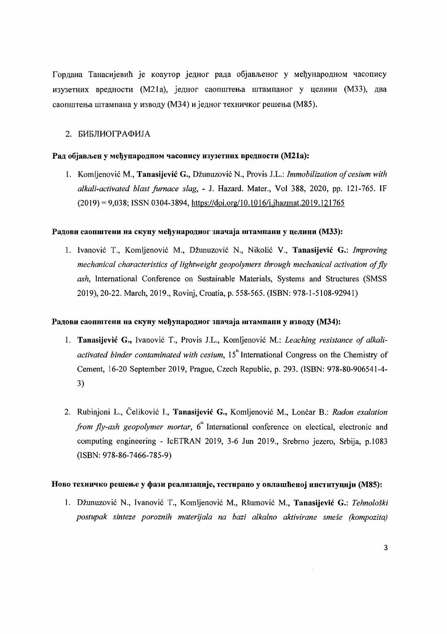Гордана Танасијевић је коаутор једног рада објављеног у међународном часопису изузетних вредности (M21a), једног саопштења штампаног у целини (M33), два саопштења штампана у изводу (М34) и једног техничког решења (М85).

### 2. БИБЛИОГРАФИЈА

#### Рад објављен у међународном часопису изузетних вредности (М21а):

1. Komljenović M., **Tanasijević G.**, Džunuzović N., Provis J.L.: *Immobilization of cesium with alkali-activated blast furnace slag,* - J. Hazard. Mater., Vol 388, 2020, pp. 121-765. IF  $(2019) = 9,038$ ; ISSN 0304-3894, https://doi.org/10.1016/j.jhazmat.2019.121765

### Радови саопштени на скупу међународног значаја штампани у целини (М33):

1. Ivanovic T., Komljenovic M., Dzunuzovic N., Nikolic V., Tanasijevic G.: *Improving mechanical characteristics of lightweight geopolymers through mechanical activation offly ash,* International Conference on Sustainable Materials, Systems and Structures (SMSS 2019),20-22. March, 2019., Rovinj, Croatia, p. 558-565. (ISBN: 978-1-5108-92941)

### Радови саопштени на скупу међународног значаја штампани у изводу (М34):

- 1. Tanasijević G., Ivanović T., Provis J.L., Komljenović M.: *Leaching resistance of alkaliactivated binder contaminated with cesium,* 15<sup>th</sup> International Congress on the Chemistry of Cement, 16-20 September 2019, Prague, Czech Republic, p. 293. (ISBN: 978-80-906541-4 3)
- 2. Rubinjoni L., Celikovic I., Tanasijcvic G., Komljenovic M., Loncar B.: *Radon exalation from fly-ash geopolymer mortar*, 6<sup>th</sup> International conference on electical, electronic and computing engineering - IcETRAN 2019, 3-6 Jun 2019., Srebrno jezero, Srbija, p.l083 (ISBN: 978-86-7466-785-9)

# Ново техничко решење у фази реализације, тестирано у овлашћеној институцији (M85):

1. Dzunuzovic N., Ivanovic T., Komljenovic M., Rsumovic M., Tanasijevic G.: *Tehnoloski postupak sinteze poroznih materijala na bazi a/kalno aktivirane smese (kompozita)*